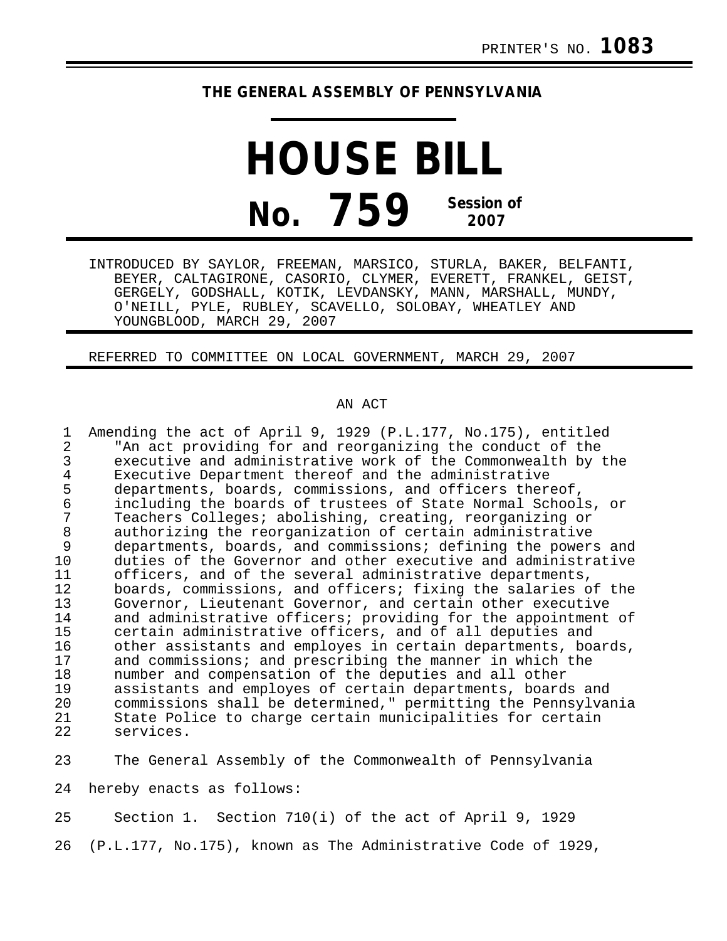## **THE GENERAL ASSEMBLY OF PENNSYLVANIA**

**HOUSE BILL No. 759 Session of 2007**

INTRODUCED BY SAYLOR, FREEMAN, MARSICO, STURLA, BAKER, BELFANTI, BEYER, CALTAGIRONE, CASORIO, CLYMER, EVERETT, FRANKEL, GEIST, GERGELY, GODSHALL, KOTIK, LEVDANSKY, MANN, MARSHALL, MUNDY, O'NEILL, PYLE, RUBLEY, SCAVELLO, SOLOBAY, WHEATLEY AND YOUNGBLOOD, MARCH 29, 2007

REFERRED TO COMMITTEE ON LOCAL GOVERNMENT, MARCH 29, 2007

## AN ACT

| 1              | Amending the act of April 9, 1929 (P.L.177, No.175), entitled                                                             |
|----------------|---------------------------------------------------------------------------------------------------------------------------|
| $\overline{2}$ | "An act providing for and reorganizing the conduct of the                                                                 |
| 3              | executive and administrative work of the Commonwealth by the                                                              |
| 4              | Executive Department thereof and the administrative                                                                       |
| 5              | departments, boards, commissions, and officers thereof,                                                                   |
| 6              | including the boards of trustees of State Normal Schools, or                                                              |
| 7              | Teachers Colleges; abolishing, creating, reorganizing or                                                                  |
| $\,8\,$        | authorizing the reorganization of certain administrative                                                                  |
| 9              | departments, boards, and commissions; defining the powers and                                                             |
| 10<br>11       | duties of the Governor and other executive and administrative                                                             |
| 12             | officers, and of the several administrative departments,<br>boards, commissions, and officers; fixing the salaries of the |
| 13             | Governor, Lieutenant Governor, and certain other executive                                                                |
| 14             | and administrative officers; providing for the appointment of                                                             |
| 15             | certain administrative officers, and of all deputies and                                                                  |
| 16             | other assistants and employes in certain departments, boards,                                                             |
| 17             | and commissions; and prescribing the manner in which the                                                                  |
| 18             | number and compensation of the deputies and all other                                                                     |
| 19             | assistants and employes of certain departments, boards and                                                                |
| 20             | commissions shall be determined," permitting the Pennsylvania                                                             |
| 21             | State Police to charge certain municipalities for certain                                                                 |
| 22             | services.                                                                                                                 |
| 23             | The General Assembly of the Commonwealth of Pennsylvania                                                                  |
|                |                                                                                                                           |
| 24             | hereby enacts as follows:                                                                                                 |
| 25             | Section 1. Section 710(i) of the act of April 9, 1929                                                                     |

26 (P.L.177, No.175), known as The Administrative Code of 1929,